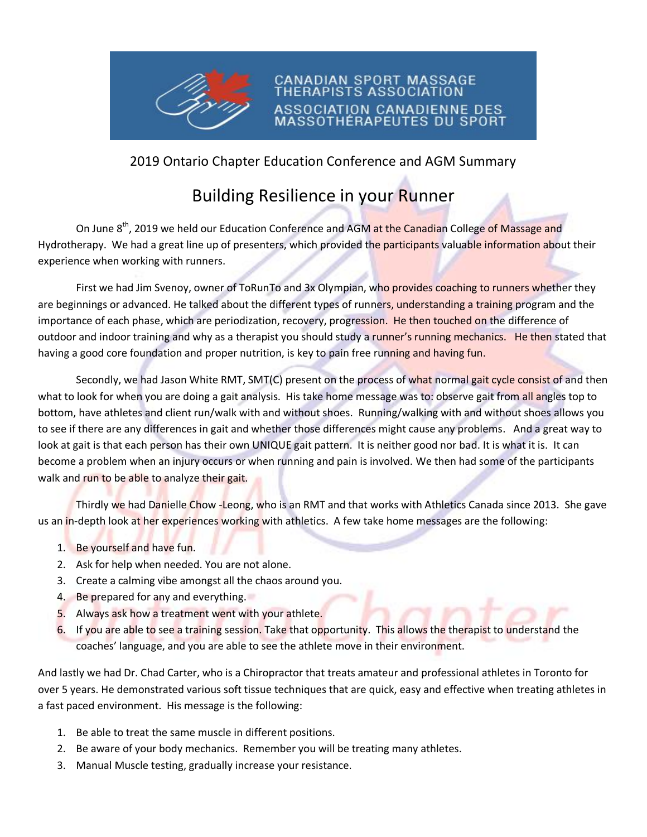

## 2019 Ontario Chapter Education Conference and AGM Summary

CANADIAN SPORT MASSAGE **STS ASSOCI** 

SSOCIATION CANADIENNE DES SOTHÉRAPEUTES DU SPORT

## Building Resilience in your Runner

On June 8<sup>th</sup>, 2019 we held our Education Conference and AGM at the Canadian College of Massage and Hydrotherapy. We had a great line up of presenters, which provided the participants valuable information about their experience when working with runners.

First we had Jim Svenoy, owner of ToRunTo and 3x Olympian, who provides coaching to runners whether they are beginnings or advanced. He talked about the different types of runners, understanding a training program and the importance of each phase, which are periodization, recovery, progression. He then touched on the difference of outdoor and indoor training and why as a therapist you should study a runner's running mechanics. He then stated that having a good core foundation and proper nutrition, is key to pain free running and having fun.

Secondly, we had Jason White RMT, SMT(C) present on the process of what normal gait cycle consist of and then what to look for when you are doing a gait analysis. His take home message was to: observe gait from all angles top to bottom, have athletes and client run/walk with and without shoes. Running/walking with and without shoes allows you to see if there are any differences in gait and whether those differences might cause any problems. And a great way to look at gait is that each person has their own UNIQUE gait pattern. It is neither good nor bad. It is what it is. It can become a problem when an injury occurs or when running and pain is involved. We then had some of the participants walk and run to be able to analyze their gait.

Thirdly we had Danielle Chow -Leong, who is an RMT and that works with Athletics Canada since 2013. She gave us an in-depth look at her experiences working with athletics. A few take home messages are the following:

- 1. Be yourself and have fun.
- 2. Ask for help when needed. You are not alone.
- 3. Create a calming vibe amongst all the chaos around you.
- 4. Be prepared for any and everything.
- 5. Always ask how a treatment went with your athlete.
- 6. If you are able to see a training session. Take that opportunity. This allows the therapist to understand the coaches' language, and you are able to see the athlete move in their environment.

And lastly we had Dr. Chad Carter, who is a Chiropractor that treats amateur and professional athletes in Toronto for over 5 years. He demonstrated various soft tissue techniques that are quick, easy and effective when treating athletes in a fast paced environment. His message is the following:

- 1. Be able to treat the same muscle in different positions.
- 2. Be aware of your body mechanics. Remember you will be treating many athletes.
- 3. Manual Muscle testing, gradually increase your resistance.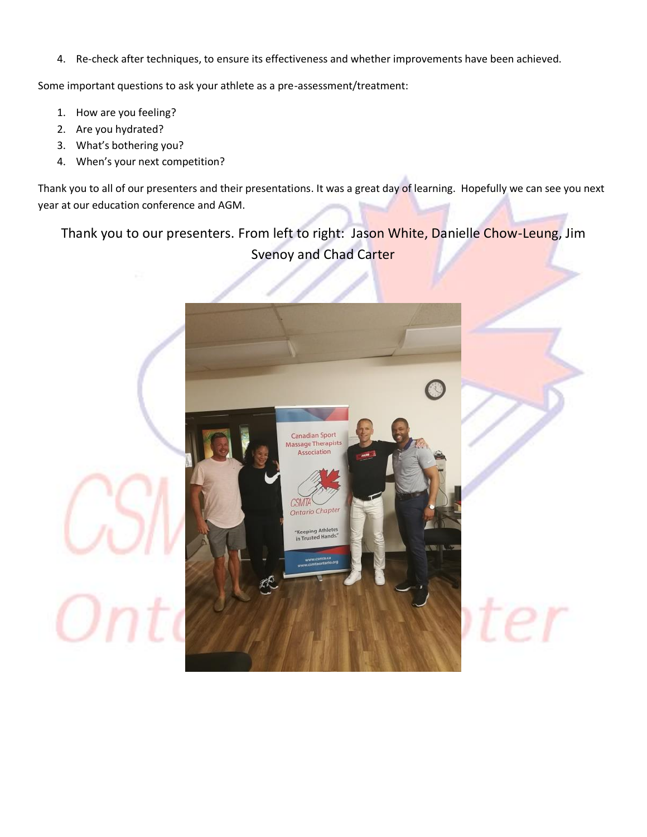4. Re-check after techniques, to ensure its effectiveness and whether improvements have been achieved.

Some important questions to ask your athlete as a pre-assessment/treatment:

- 1. How are you feeling?
- 2. Are you hydrated?

Οı

- 3. What's bothering you?
- 4. When's your next competition?

Thank you to all of our presenters and their presentations. It was a great day of learning. Hopefully we can see you next year at our education conference and AGM.

Thank you to our presenters. From left to right: Jason White, Danielle Chow-Leung, Jim Svenoy and Chad Carter